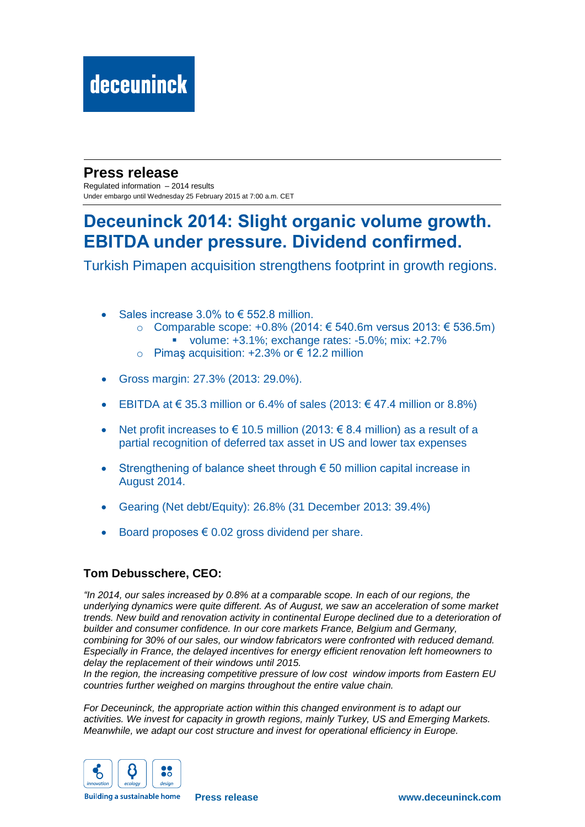### **Press release**

Regulated information – 2014 results Under embargo until Wednesday 25 February 2015 at 7:00 a.m. CET

## **Deceuninck 2014: Slight organic volume growth. EBITDA under pressure. Dividend confirmed.**

Turkish Pimapen acquisition strengthens footprint in growth regions.

- Sales increase 3.0% to € 552.8 million.
	- o Comparable scope: +0.8% (2014: € 540.6m versus 2013: € 536.5m) volume:  $+3.1\%$ : exchange rates:  $-5.0\%$ : mix:  $+2.7\%$
	- o Pimaş acquisition: +2.3% or € 12.2 million
- Gross margin: 27.3% (2013: 29.0%).
- **EBITDA at € 35.3 million or 6.4% of sales (2013:**  $\epsilon$  **47.4 million or 8.8%)**
- Net profit increases to  $\epsilon$  10.5 million (2013:  $\epsilon$  8.4 million) as a result of a partial recognition of deferred tax asset in US and lower tax expenses
- Strengthening of balance sheet through  $\epsilon$  50 million capital increase in August 2014.
- Gearing (Net debt/Equity): 26.8% (31 December 2013: 39.4%)
- Board proposes  $\epsilon$  0.02 gross dividend per share.

#### **Tom Debusschere, CEO:**

*"In 2014, our sales increased by 0.8% at a comparable scope. In each of our regions, the underlying dynamics were quite different. As of August, we saw an acceleration of some market trends. New build and renovation activity in continental Europe declined due to a deterioration of builder and consumer confidence. In our core markets France, Belgium and Germany, combining for 30% of our sales, our window fabricators were confronted with reduced demand. Especially in France, the delayed incentives for energy efficient renovation left homeowners to delay the replacement of their windows until 2015.* 

*In the region, the increasing competitive pressure of low cost window imports from Eastern EU countries further weighed on margins throughout the entire value chain.*

*For Deceuninck, the appropriate action within this changed environment is to adapt our activities. We invest for capacity in growth regions, mainly Turkey, US and Emerging Markets. Meanwhile, we adapt our cost structure and invest for operational efficiency in Europe.*



**Building a sustainable home**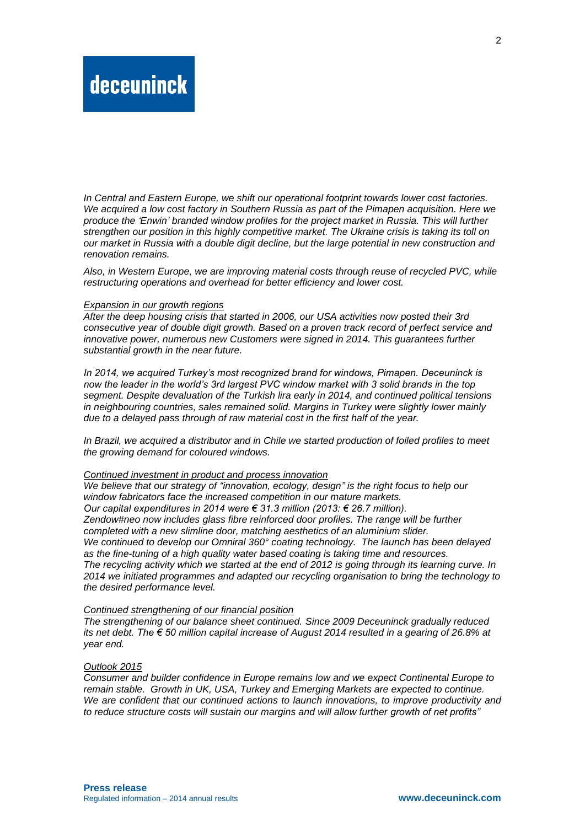*In Central and Eastern Europe, we shift our operational footprint towards lower cost factories. We acquired a low cost factory in Southern Russia as part of the Pimapen acquisition. Here we produce the 'Enwin' branded window profiles for the project market in Russia. This will further strengthen our position in this highly competitive market. The Ukraine crisis is taking its toll on our market in Russia with a double digit decline, but the large potential in new construction and renovation remains.*

*Also, in Western Europe, we are improving material costs through reuse of recycled PVC, while restructuring operations and overhead for better efficiency and lower cost.*

#### *Expansion in our growth regions*

*After the deep housing crisis that started in 2006, our USA activities now posted their 3rd consecutive year of double digit growth. Based on a proven track record of perfect service and innovative power, numerous new Customers were signed in 2014. This guarantees further substantial growth in the near future.* 

*In 2014, we acquired Turkey's most recognized brand for windows, Pimapen. Deceuninck is now the leader in the world's 3rd largest PVC window market with 3 solid brands in the top segment. Despite devaluation of the Turkish lira early in 2014, and continued political tensions in neighbouring countries, sales remained solid. Margins in Turkey were slightly lower mainly due to a delayed pass through of raw material cost in the first half of the year.*

*In Brazil, we acquired a distributor and in Chile we started production of foiled profiles to meet the growing demand for coloured windows.*

#### *Continued investment in product and process innovation*

*We believe that our strategy of "innovation, ecology, design" is the right focus to help our window fabricators face the increased competition in our mature markets. Our capital expenditures in 2014 were € 31.3 million (2013: € 26.7 million). Zendow#neo now includes glass fibre reinforced door profiles. The range will be further completed with a new slimline door, matching aesthetics of an aluminium slider. We continued to develop our Omniral 360° coating technology. The launch has been delayed as the fine-tuning of a high quality water based coating is taking time and resources. The recycling activity which we started at the end of 2012 is going through its learning curve. In 2014 we initiated programmes and adapted our recycling organisation to bring the technology to the desired performance level.*

#### *Continued strengthening of our financial position*

*The strengthening of our balance sheet continued. Since 2009 Deceuninck gradually reduced its net debt. The € 50 million capital increase of August 2014 resulted in a gearing of 26.8% at year end.* 

#### *Outlook 2015*

*Consumer and builder confidence in Europe remains low and we expect Continental Europe to remain stable. Growth in UK, USA, Turkey and Emerging Markets are expected to continue. We are confident that our continued actions to launch innovations, to improve productivity and to reduce structure costs will sustain our margins and will allow further growth of net profits"*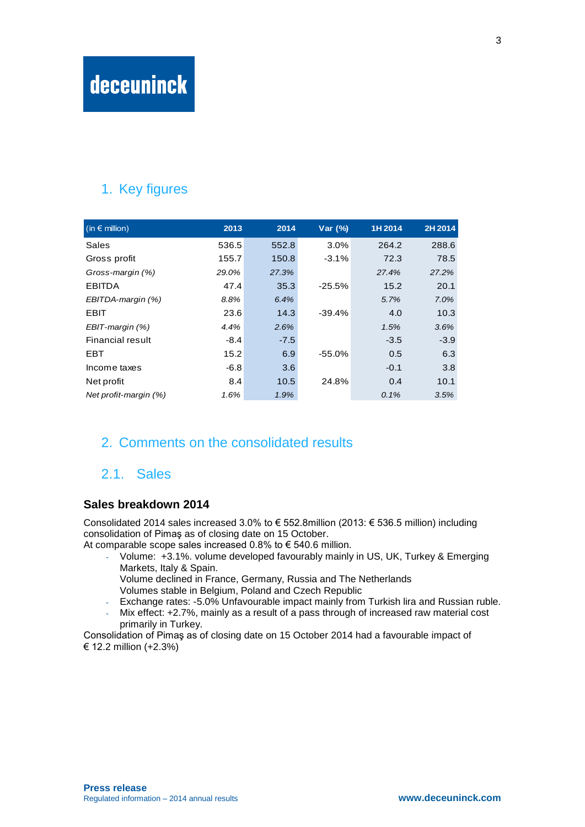## 1. Key figures

| $(in \in$ million)    | 2013   | 2014   | Var $(%)$ | 1H 2014 | 2H 2014 |
|-----------------------|--------|--------|-----------|---------|---------|
| Sales                 | 536.5  | 552.8  | 3.0%      | 264.2   | 288.6   |
| Gross profit          | 155.7  | 150.8  | $-3.1%$   | 72.3    | 78.5    |
| Gross-margin (%)      | 29.0%  | 27.3%  |           | 27.4%   | 27.2%   |
| <b>EBITDA</b>         | 47.4   | 35.3   | $-25.5%$  | 15.2    | 20.1    |
| EBITDA-margin (%)     | 8.8%   | 6.4%   |           | 5.7%    | 7.0%    |
| <b>EBIT</b>           | 23.6   | 14.3   | $-39.4%$  | 4.0     | 10.3    |
| EBIT-margin (%)       | 4.4%   | 2.6%   |           | 1.5%    | 3.6%    |
| Financial result      | $-8.4$ | $-7.5$ |           | $-3.5$  | $-3.9$  |
| EBT                   | 15.2   | 6.9    | $-55.0%$  | 0.5     | 6.3     |
| Income taxes          | $-6.8$ | 3.6    |           | $-0.1$  | 3.8     |
| Net profit            | 8.4    | 10.5   | 24.8%     | 0.4     | 10.1    |
| Net profit-margin (%) | 1.6%   | 1.9%   |           | 0.1%    | 3.5%    |

### 2. Comments on the consolidated results

### 2.1. Sales

#### **Sales breakdown 2014**

Consolidated 2014 sales increased 3.0% to € 552.8million (2013: € 536.5 million) including consolidation of Pimaş as of closing date on 15 October.

At comparable scope sales increased 0.8% to  $\epsilon$  540.6 million.

- Volume: +3.1%. volume developed favourably mainly in US, UK, Turkey & Emerging Markets, Italy & Spain.
	- Volume declined in France, Germany, Russia and The Netherlands Volumes stable in Belgium, Poland and Czech Republic
- Exchange rates: -5.0% Unfavourable impact mainly from Turkish lira and Russian ruble.
- Mix effect: +2.7%, mainly as a result of a pass through of increased raw material cost primarily in Turkey.

Consolidation of Pimaş as of closing date on 15 October 2014 had a favourable impact of € 12.2 million (+2.3%)

3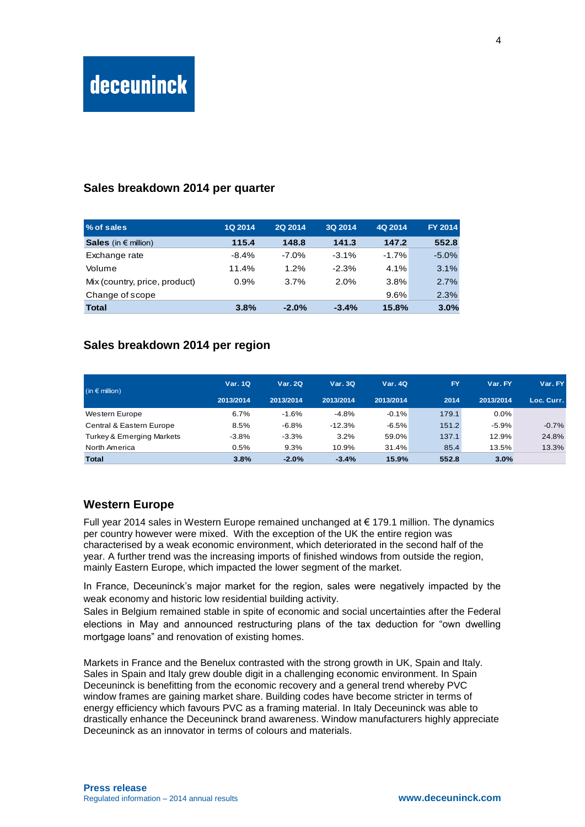#### **Sales breakdown 2014 per quarter**

| % of sales                    | 1Q 2014 | <b>2Q 2014</b> | 3Q 2014 | 4Q 2014 | FY 2014  |
|-------------------------------|---------|----------------|---------|---------|----------|
| Sales (in $\epsilon$ million) | 115.4   | 148.8          | 141.3   | 147.2   | 552.8    |
| Exchange rate                 | $-8.4%$ | $-7.0\%$       | $-3.1%$ | $-1.7%$ | $-5.0\%$ |
| Volume                        | 11.4%   | 1.2%           | $-2.3%$ | 4.1%    | 3.1%     |
| Mix (country, price, product) | 0.9%    | 3.7%           | 2.0%    | 3.8%    | 2.7%     |
| Change of scope               |         |                |         | 9.6%    | 2.3%     |
| <b>Total</b>                  | 3.8%    | $-2.0%$        | $-3.4%$ | 15.8%   | 3.0%     |

#### **Sales breakdown 2014 per region**

| (in $\epsilon$ million)              | <b>Var. 1Q</b> | <b>Var. 2Q</b> | Var.3Q    | <b>Var. 4Q</b> | <b>FY</b> | Var. FY   | Var. FY    |
|--------------------------------------|----------------|----------------|-----------|----------------|-----------|-----------|------------|
|                                      | 2013/2014      | 2013/2014      | 2013/2014 | 2013/2014      | 2014      | 2013/2014 | Loc. Curr. |
| Western Europe                       | 6.7%           | $-1.6%$        | $-4.8%$   | $-0.1%$        | 179.1     | $0.0\%$   |            |
| Central & Eastern Europe             | 8.5%           | $-6.8\%$       | $-12.3%$  | $-6.5%$        | 151.2     | $-5.9%$   | $-0.7%$    |
| <b>Turkey &amp; Emerging Markets</b> | $-3.8\%$       | $-3.3%$        | 3.2%      | 59.0%          | 137.1     | 12.9%     | 24.8%      |
| North America                        | 0.5%           | 9.3%           | 10.9%     | 31.4%          | 85.4      | 13.5%     | 13.3%      |
| <b>Total</b>                         | 3.8%           | $-2.0%$        | $-3.4%$   | 15.9%          | 552.8     | 3.0%      |            |

#### **Western Europe**

Full year 2014 sales in Western Europe remained unchanged at € 179.1 million. The dynamics per country however were mixed. With the exception of the UK the entire region was characterised by a weak economic environment, which deteriorated in the second half of the year. A further trend was the increasing imports of finished windows from outside the region, mainly Eastern Europe, which impacted the lower segment of the market.

In France, Deceuninck's major market for the region, sales were negatively impacted by the weak economy and historic low residential building activity.

Sales in Belgium remained stable in spite of economic and social uncertainties after the Federal elections in May and announced restructuring plans of the tax deduction for "own dwelling mortgage loans" and renovation of existing homes.

Markets in France and the Benelux contrasted with the strong growth in UK, Spain and Italy. Sales in Spain and Italy grew double digit in a challenging economic environment. In Spain Deceuninck is benefitting from the economic recovery and a general trend whereby PVC window frames are gaining market share. Building codes have become stricter in terms of energy efficiency which favours PVC as a framing material. In Italy Deceuninck was able to drastically enhance the Deceuninck brand awareness. Window manufacturers highly appreciate Deceuninck as an innovator in terms of colours and materials.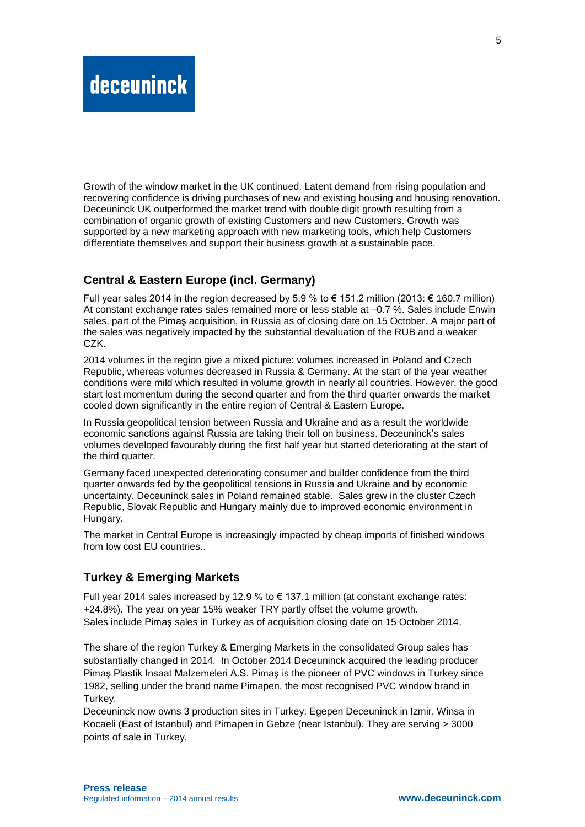Growth of the window market in the UK continued. Latent demand from rising population and recovering confidence is driving purchases of new and existing housing and housing renovation. Deceuninck UK outperformed the market trend with double digit growth resulting from a combination of organic growth of existing Customers and new Customers. Growth was supported by a new marketing approach with new marketing tools, which help Customers differentiate themselves and support their business growth at a sustainable pace.

#### **Central & Eastern Europe (incl. Germany)**

Full year sales 2014 in the region decreased by 5.9 % to € 151.2 million (2013: € 160.7 million) At constant exchange rates sales remained more or less stable at –0.7 %. Sales include Enwin sales, part of the Pimaş acquisition, in Russia as of closing date on 15 October. A major part of the sales was negatively impacted by the substantial devaluation of the RUB and a weaker CZK.

2014 volumes in the region give a mixed picture: volumes increased in Poland and Czech Republic, whereas volumes decreased in Russia & Germany. At the start of the year weather conditions were mild which resulted in volume growth in nearly all countries. However, the good start lost momentum during the second quarter and from the third quarter onwards the market cooled down significantly in the entire region of Central & Eastern Europe.

In Russia geopolitical tension between Russia and Ukraine and as a result the worldwide economic sanctions against Russia are taking their toll on business. Deceuninck's sales volumes developed favourably during the first half year but started deteriorating at the start of the third quarter.

Germany faced unexpected deteriorating consumer and builder confidence from the third quarter onwards fed by the geopolitical tensions in Russia and Ukraine and by economic uncertainty. Deceuninck sales in Poland remained stable. Sales grew in the cluster Czech Republic, Slovak Republic and Hungary mainly due to improved economic environment in Hungary.

The market in Central Europe is increasingly impacted by cheap imports of finished windows from low cost EU countries..

#### **Turkey & Emerging Markets**

Full year 2014 sales increased by 12.9 % to € 137.1 million (at constant exchange rates: +24.8%). The year on year 15% weaker TRY partly offset the volume growth. Sales include Pimaş sales in Turkey as of acquisition closing date on 15 October 2014.

The share of the region Turkey & Emerging Markets in the consolidated Group sales has substantially changed in 2014. In October 2014 Deceuninck acquired the leading producer Pimaş Plastik Insaat Malzemeleri A.S. Pimaş is the pioneer of PVC windows in Turkey since 1982, selling under the brand name Pimapen, the most recognised PVC window brand in Turkey.

Deceuninck now owns 3 production sites in Turkey: Egepen Deceuninck in Izmir, Winsa in Kocaeli (East of Istanbul) and Pimapen in Gebze (near Istanbul). They are serving > 3000 points of sale in Turkey.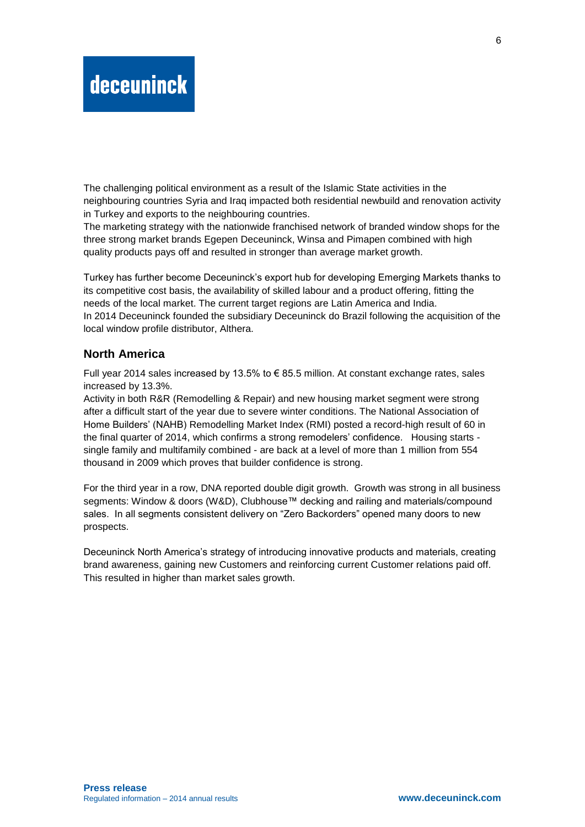The challenging political environment as a result of the Islamic State activities in the neighbouring countries Syria and Iraq impacted both residential newbuild and renovation activity in Turkey and exports to the neighbouring countries.

The marketing strategy with the nationwide franchised network of branded window shops for the three strong market brands Egepen Deceuninck, Winsa and Pimapen combined with high quality products pays off and resulted in stronger than average market growth.

Turkey has further become Deceuninck's export hub for developing Emerging Markets thanks to its competitive cost basis, the availability of skilled labour and a product offering, fitting the needs of the local market. The current target regions are Latin America and India. In 2014 Deceuninck founded the subsidiary Deceuninck do Brazil following the acquisition of the local window profile distributor, Althera.

#### **North America**

Full year 2014 sales increased by 13.5% to  $\epsilon$  85.5 million. At constant exchange rates, sales increased by 13.3%.

Activity in both R&R (Remodelling & Repair) and new housing market segment were strong after a difficult start of the year due to severe winter conditions. The National Association of Home Builders' (NAHB) Remodelling Market Index (RMI) posted a record-high result of 60 in the final quarter of 2014, which confirms a strong remodelers' confidence. Housing starts single family and multifamily combined - are back at a level of more than 1 million from 554 thousand in 2009 which proves that builder confidence is strong.

For the third year in a row, DNA reported double digit growth. Growth was strong in all business segments: Window & doors (W&D), Clubhouse™ decking and railing and materials/compound sales. In all segments consistent delivery on "Zero Backorders" opened many doors to new prospects.

Deceuninck North America's strategy of introducing innovative products and materials, creating brand awareness, gaining new Customers and reinforcing current Customer relations paid off. This resulted in higher than market sales growth.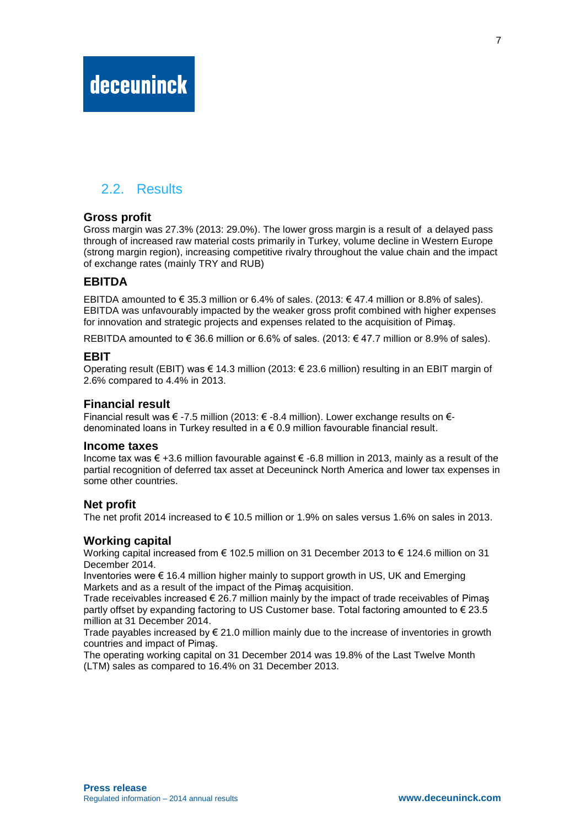## 2.2. Results

#### **Gross profit**

Gross margin was 27.3% (2013: 29.0%). The lower gross margin is a result of a delayed pass through of increased raw material costs primarily in Turkey, volume decline in Western Europe (strong margin region), increasing competitive rivalry throughout the value chain and the impact of exchange rates (mainly TRY and RUB)

#### **EBITDA**

EBITDA amounted to € 35.3 million or 6.4% of sales. (2013: € 47.4 million or 8.8% of sales). EBITDA was unfavourably impacted by the weaker gross profit combined with higher expenses for innovation and strategic projects and expenses related to the acquisition of Pimaş.

REBITDA amounted to  $\in$  36.6 million or 6.6% of sales. (2013:  $\in$  47.7 million or 8.9% of sales).

#### **EBIT**

Operating result (EBIT) was € 14.3 million (2013: € 23.6 million) resulting in an EBIT margin of 2.6% compared to 4.4% in 2013.

#### **Financial result**

Financial result was € -7.5 million (2013: € -8.4 million). Lower exchange results on € denominated loans in Turkey resulted in  $a \in 0.9$  million favourable financial result.

#### **Income taxes**

Income tax was € +3.6 million favourable against € -6.8 million in 2013, mainly as a result of the partial recognition of deferred tax asset at Deceuninck North America and lower tax expenses in some other countries.

#### **Net profit**

The net profit 2014 increased to  $\epsilon$  10.5 million or 1.9% on sales versus 1.6% on sales in 2013.

#### **Working capital**

Working capital increased from € 102.5 million on 31 December 2013 to € 124.6 million on 31 December 2014.

Inventories were  $\epsilon$  16.4 million higher mainly to support growth in US, UK and Emerging Markets and as a result of the impact of the Pimaş acquisition.

Trade receivables increased  $\epsilon$  26.7 million mainly by the impact of trade receivables of Pimas partly offset by expanding factoring to US Customer base. Total factoring amounted to € 23.5 million at 31 December 2014.

Trade payables increased by  $\epsilon$  21.0 million mainly due to the increase of inventories in growth countries and impact of Pimaş.

The operating working capital on 31 December 2014 was 19.8% of the Last Twelve Month (LTM) sales as compared to 16.4% on 31 December 2013.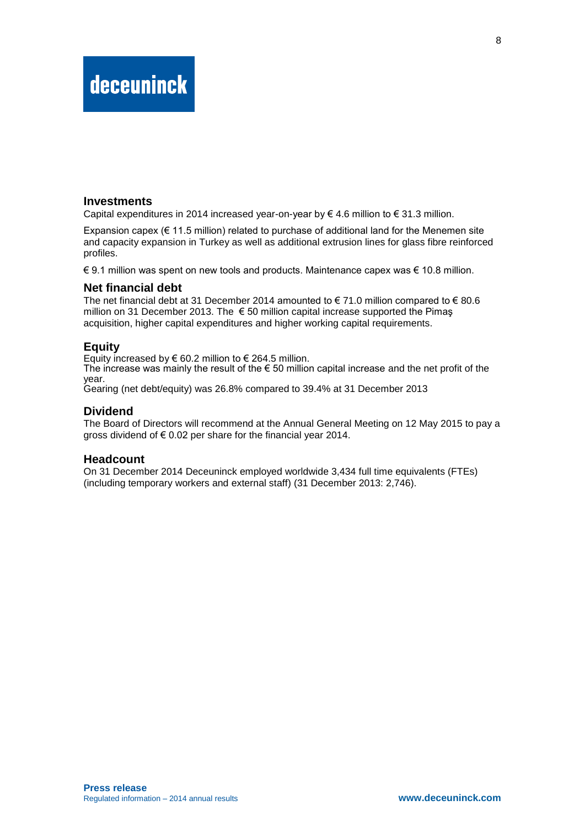#### **Investments**

Capital expenditures in 2014 increased year-on-year by  $\in$  4.6 million to  $\in$  31.3 million.

Expansion capex ( $\epsilon$  11.5 million) related to purchase of additional land for the Menemen site and capacity expansion in Turkey as well as additional extrusion lines for glass fibre reinforced profiles.

€ 9.1 million was spent on new tools and products. Maintenance capex was € 10.8 million.

#### **Net financial debt**

The net financial debt at 31 December 2014 amounted to  $\epsilon$  71.0 million compared to  $\epsilon$  80.6 million on 31 December 2013. The  $\epsilon$  50 million capital increase supported the Pimas acquisition, higher capital expenditures and higher working capital requirements.

#### **Equity**

Equity increased by  $\epsilon$  60.2 million to  $\epsilon$  264.5 million.

The increase was mainly the result of the  $\epsilon$  50 million capital increase and the net profit of the year.

Gearing (net debt/equity) was 26.8% compared to 39.4% at 31 December 2013

#### **Dividend**

The Board of Directors will recommend at the Annual General Meeting on 12 May 2015 to pay a gross dividend of € 0.02 per share for the financial year 2014.

#### **Headcount**

On 31 December 2014 Deceuninck employed worldwide 3,434 full time equivalents (FTEs) (including temporary workers and external staff) (31 December 2013: 2,746).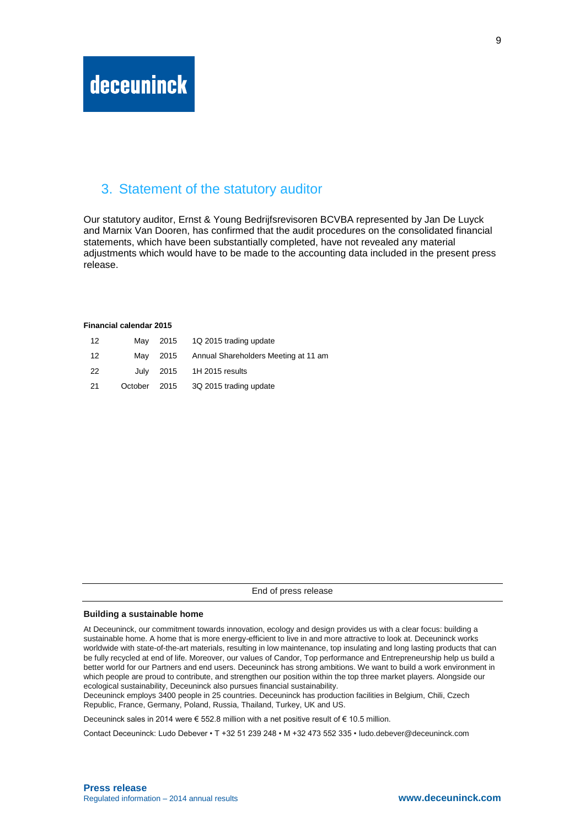#### 3. Statement of the statutory auditor

Our statutory auditor, Ernst & Young Bedrijfsrevisoren BCVBA represented by Jan De Luyck and Marnix Van Dooren, has confirmed that the audit procedures on the consolidated financial statements, which have been substantially completed, have not revealed any material adjustments which would have to be made to the accounting data included in the present press release.

#### **Financial calendar 2015**

| $12 \overline{ }$ |  | May 2015 1Q 2015 trading update               |
|-------------------|--|-----------------------------------------------|
| -12               |  | May 2015 Annual Shareholders Meeting at 11 am |
| 22                |  | July 2015 1H 2015 results                     |
| -21               |  | October 2015 3Q 2015 trading update           |

| End of press release |
|----------------------|
|                      |

#### **Building a sustainable home**

At Deceuninck, our commitment towards innovation, ecology and design provides us with a clear focus: building a sustainable home. A home that is more energy-efficient to live in and more attractive to look at. Deceuninck works worldwide with state-of-the-art materials, resulting in low maintenance, top insulating and long lasting products that can be fully recycled at end of life. Moreover, our values of Candor, Top performance and Entrepreneurship help us build a better world for our Partners and end users. Deceuninck has strong ambitions. We want to build a work environment in which people are proud to contribute, and strengthen our position within the top three market players. Alongside our ecological sustainability, Deceuninck also pursues financial sustainability.

Deceuninck employs 3400 people in 25 countries. Deceuninck has production facilities in Belgium, Chili, Czech Republic, France, Germany, Poland, Russia, Thailand, Turkey, UK and US.

Deceuninck sales in 2014 were € 552.8 million with a net positive result of € 10.5 million.

Contact Deceuninck: Ludo Debever • T +32 51 239 248 • M +32 473 552 335 • [ludo.debever@deceuninck.com](mailto:ludo.debever@deceuninck.com)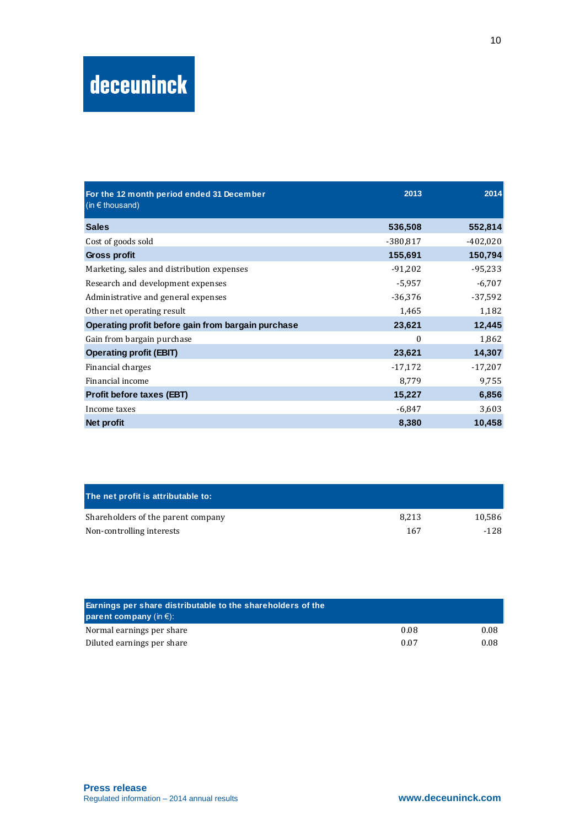| For the 12 month period ended 31 December<br>(in $\epsilon$ thous and) | 2013       | 2014       |
|------------------------------------------------------------------------|------------|------------|
| <b>Sales</b>                                                           | 536,508    | 552,814    |
| Cost of goods sold                                                     | $-380,817$ | $-402,020$ |
| Gross profit                                                           | 155,691    | 150,794    |
| Marketing, sales and distribution expenses                             | $-91,202$  | $-95,233$  |
| Research and development expenses                                      | $-5,957$   | $-6,707$   |
| Administrative and general expenses                                    | $-36,376$  | $-37,592$  |
| Other net operating result                                             | 1,465      | 1,182      |
| Operating profit before gain from bargain purchase                     | 23,621     | 12,445     |
| Gain from bargain purchase                                             | 0          | 1,862      |
| <b>Operating profit (EBIT)</b>                                         | 23,621     | 14,307     |
| Financial charges                                                      | $-17,172$  | $-17,207$  |
| Financial income                                                       | 8,779      | 9,755      |
| Profit before taxes (EBT)                                              | 15,227     | 6,856      |
| Income taxes                                                           | $-6,847$   | 3,603      |
| Net profit                                                             | 8,380      | 10,458     |

| The net profit is attributable to: |       |        |
|------------------------------------|-------|--------|
| Shareholders of the parent company | 8.213 | 10.586 |
| Non-controlling interests          | 167   | -128   |

| Earnings per share distributable to the shareholders of the<br>parent company (in $\epsilon$ ): |      |      |
|-------------------------------------------------------------------------------------------------|------|------|
| Normal earnings per share                                                                       | 0.08 | 0.08 |
| Diluted earnings per share                                                                      | 0.07 | 0.08 |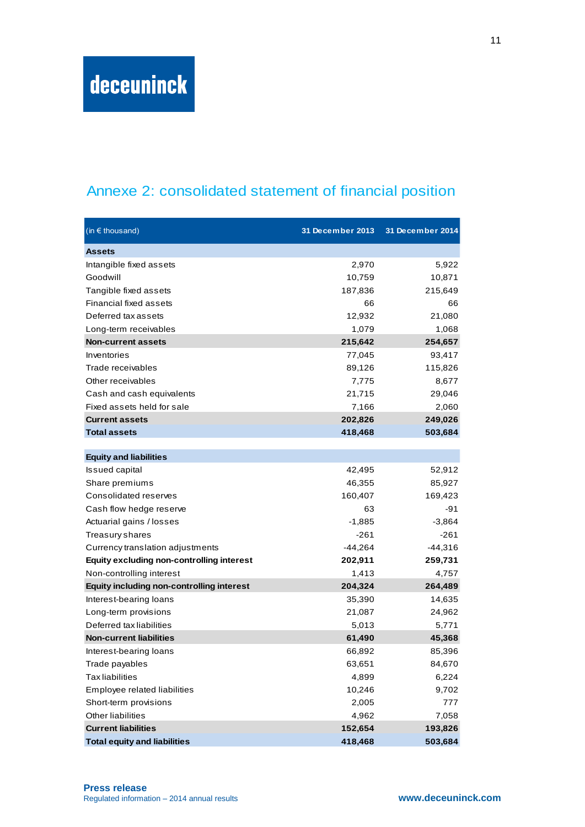## Annexe 2: consolidated statement of financial position

| (in $\epsilon$ thousand)                         | 31 December 2013 | 31 December 2014 |
|--------------------------------------------------|------------------|------------------|
| <b>Assets</b>                                    |                  |                  |
| Intangible fixed assets                          | 2,970            | 5,922            |
| Goodwill                                         | 10,759           | 10,871           |
| Tangible fixed assets                            | 187,836          | 215,649          |
| Financial fixed assets                           | 66               | 66               |
| Deferred tax assets                              | 12,932           | 21,080           |
| Long-term receivables                            | 1,079            | 1,068            |
| <b>Non-current assets</b>                        | 215,642          | 254,657          |
| Inventories                                      | 77,045           | 93,417           |
| Trade receivables                                | 89,126           | 115,826          |
| Other receivables                                | 7,775            | 8,677            |
| Cash and cash equivalents                        | 21,715           | 29,046           |
| Fixed assets held for sale                       | 7,166            | 2,060            |
| <b>Current assets</b>                            | 202,826          | 249,026          |
| <b>Total assets</b>                              | 418,468          | 503,684          |
|                                                  |                  |                  |
| <b>Equity and liabilities</b>                    |                  |                  |
| <b>Issued capital</b>                            | 42,495           | 52,912           |
| Share premiums                                   | 46,355           | 85,927           |
| Consolidated reserves                            | 160,407          | 169,423          |
| Cash flow hedge reserve                          | 63               | -91              |
| Actuarial gains / losses                         | $-1,885$         | $-3,864$         |
| Treasury shares                                  | $-261$           | $-261$           |
| Currency translation adjustments                 | $-44,264$        | $-44,316$        |
| <b>Equity excluding non-controlling interest</b> | 202,911          | 259,731          |
| Non-controlling interest                         | 1,413            | 4,757            |
| <b>Equity including non-controlling interest</b> | 204,324          | 264,489          |
| Interest-bearing loans                           | 35,390           | 14,635           |
| Long-term provisions                             | 21,087           | 24,962           |
| Deferred tax liabilities                         | 5,013            | 5,771            |
| <b>Non-current liabilities</b>                   | 61,490           | 45,368           |
| Interest-bearing loans                           | 66,892           | 85,396           |
| Trade payables                                   | 63,651           | 84,670           |
| <b>Tax liabilities</b>                           | 4,899            | 6,224            |
| Employee related liabilities                     | 10,246           | 9,702            |
| Short-term provisions                            | 2,005            | 777              |
| Other liabilities                                | 4,962            | 7,058            |
| <b>Current liabilities</b>                       | 152,654          | 193,826          |
| <b>Total equity and liabilities</b>              | 418,468          | 503,684          |